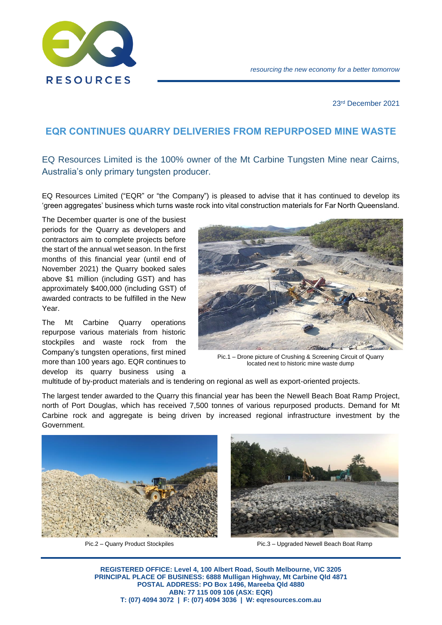

23rd December 2021

## **EQR CONTINUES QUARRY DELIVERIES FROM REPURPOSED MINE WASTE**

EQ Resources Limited is the 100% owner of the Mt Carbine Tungsten Mine near Cairns, Australia's only primary tungsten producer.

EQ Resources Limited ("EQR" or "the Company") is pleased to advise that it has continued to develop its 'green aggregates' business which turns waste rock into vital construction materials for Far North Queensland.

The December quarter is one of the busiest periods for the Quarry as developers and contractors aim to complete projects before the start of the annual wet season. In the first months of this financial year (until end of November 2021) the Quarry booked sales above \$1 million (including GST) and has approximately \$400,000 (including GST) of awarded contracts to be fulfilled in the New Year.

The Mt Carbine Quarry operations repurpose various materials from historic stockpiles and waste rock from the Company's tungsten operations, first mined more than 100 years ago. EQR continues to develop its quarry business using a



Pic.1 – Drone picture of Crushing & Screening Circuit of Quarry located next to historic mine waste dump

multitude of by-product materials and is tendering on regional as well as export-oriented projects.

The largest tender awarded to the Quarry this financial year has been the Newell Beach Boat Ramp Project, north of Port Douglas, which has received 7,500 tonnes of various repurposed products. Demand for Mt Carbine rock and aggregate is being driven by increased regional infrastructure investment by the Government.





Pic.2 – Quarry Product Stockpiles Pic.3 – Upgraded Newell Beach Boat Ramp

**REGISTERED OFFICE: Level 4, 100 Albert Road, South Melbourne, VIC 3205 PRINCIPAL PLACE OF BUSINESS: 6888 Mulligan Highway, Mt Carbine Qld 4871 POSTAL ADDRESS: PO Box 1496, Mareeba Qld 4880 ABN: 77 115 009 106 (ASX: EQR) T: (07) 4094 3072 | F: (07) 4094 3036 | W: eqresources.com.au**